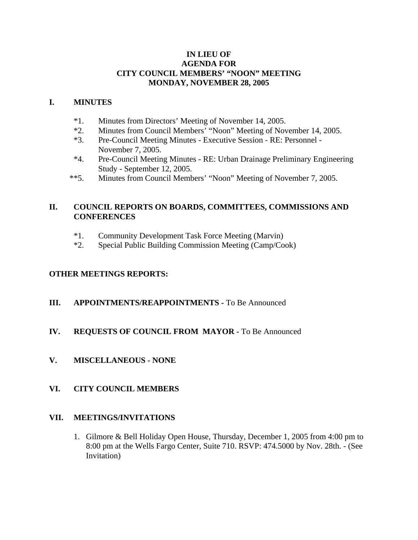#### **IN LIEU OF AGENDA FOR CITY COUNCIL MEMBERS' "NOON" MEETING MONDAY, NOVEMBER 28, 2005**

#### **I. MINUTES**

- \*1. Minutes from Directors' Meeting of November 14, 2005.
- \*2. Minutes from Council Members' "Noon" Meeting of November 14, 2005.
- \*3. Pre-Council Meeting Minutes Executive Session RE: Personnel November 7, 2005.
- \*4. Pre-Council Meeting Minutes RE: Urban Drainage Preliminary Engineering Study - September 12, 2005.
- \*\*5. Minutes from Council Members' "Noon" Meeting of November 7, 2005.

# **II. COUNCIL REPORTS ON BOARDS, COMMITTEES, COMMISSIONS AND CONFERENCES**

- \*1. Community Development Task Force Meeting (Marvin)
- \*2. Special Public Building Commission Meeting (Camp/Cook)

#### **OTHER MEETINGS REPORTS:**

**III.** APPOINTMENTS/REAPPOINTMENTS - To Be Announced

# **IV. REQUESTS OF COUNCIL FROM MAYOR -** To Be Announced

**V. MISCELLANEOUS - NONE**

# **VI. CITY COUNCIL MEMBERS**

#### **VII. MEETINGS/INVITATIONS**

1. Gilmore & Bell Holiday Open House, Thursday, December 1, 2005 from 4:00 pm to 8:00 pm at the Wells Fargo Center, Suite 710. RSVP: 474.5000 by Nov. 28th. - (See Invitation)